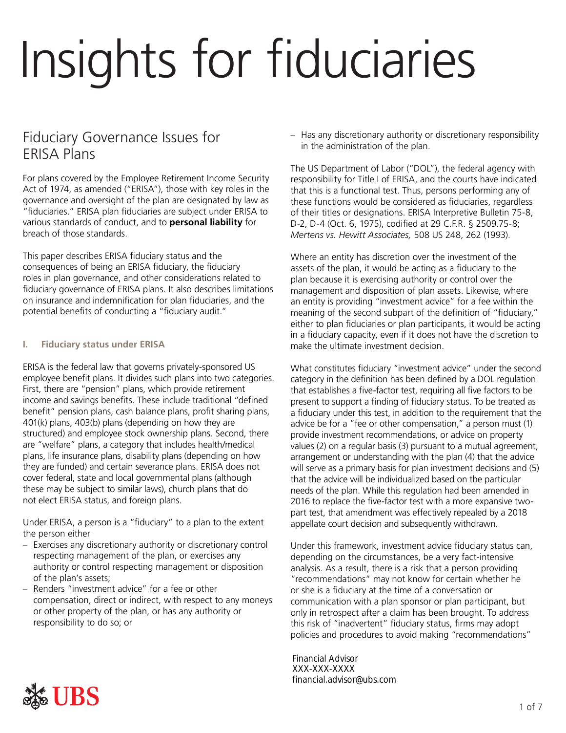# Insights for fiduciaries

## Fiduciary Governance Issues for ERISA Plans

For plans covered by the Employee Retirement Income Security Act of 1974, as amended ("ERISA"), those with key roles in the governance and oversight of the plan are designated by law as "fiduciaries." ERISA plan fiduciaries are subject under ERISA to various standards of conduct, and to **personal liability** for breach of those standards.

This paper describes ERISA fiduciary status and the consequences of being an ERISA fiduciary, the fiduciary roles in plan governance, and other considerations related to fiduciary governance of ERISA plans. It also describes limitations on insurance and indemnification for plan fiduciaries, and the potential benefits of conducting a "fiduciary audit."

### **I. Fiduciary status under ERISA**

ERISA is the federal law that governs privately-sponsored US employee benefit plans. It divides such plans into two categories. First, there are "pension" plans, which provide retirement income and savings benefits. These include traditional "defined benefit" pension plans, cash balance plans, profit sharing plans, 401(k) plans, 403(b) plans (depending on how they are structured) and employee stock ownership plans. Second, there are "welfare" plans, a category that includes health/medical plans, life insurance plans, disability plans (depending on how they are funded) and certain severance plans. ERISA does not cover federal, state and local governmental plans (although these may be subject to similar laws), church plans that do not elect ERISA status, and foreign plans.

Under ERISA, a person is a "fiduciary" to a plan to the extent the person either

- Exercises any discretionary authority or discretionary control respecting management of the plan, or exercises any authority or control respecting management or disposition of the plan's assets;
- Renders "investment advice" for a fee or other compensation, direct or indirect, with respect to any moneys or other property of the plan, or has any authority or responsibility to do so; or

– Has any discretionary authority or discretionary responsibility in the administration of the plan.

The US Department of Labor ("DOL"), the federal agency with responsibility for Title I of ERISA, and the courts have indicated that this is a functional test. Thus, persons performing any of these functions would be considered as fiduciaries, regardless of their titles or designations. ERISA Interpretive Bulletin 75-8, D-2, D-4 (Oct. 6, 1975), codified at 29 C.F.R. § 2509.75-8; *Mertens vs. Hewitt Associates,* 508 US 248, 262 (1993).

Where an entity has discretion over the investment of the assets of the plan, it would be acting as a fiduciary to the plan because it is exercising authority or control over the management and disposition of plan assets. Likewise, where an entity is providing "investment advice" for a fee within the meaning of the second subpart of the definition of "fiduciary," either to plan fiduciaries or plan participants, it would be acting in a fiduciary capacity, even if it does not have the discretion to make the ultimate investment decision.

What constitutes fiduciary "investment advice" under the second category in the definition has been defined by a DOL regulation that establishes a five-factor test, requiring all five factors to be present to support a finding of fiduciary status. To be treated as a fiduciary under this test, in addition to the requirement that the advice be for a "fee or other compensation," a person must (1) provide investment recommendations, or advice on property values (2) on a regular basis (3) pursuant to a mutual agreement, arrangement or understanding with the plan (4) that the advice will serve as a primary basis for plan investment decisions and (5) that the advice will be individualized based on the particular needs of the plan. While this regulation had been amended in 2016 to replace the five-factor test with a more expansive twopart test, that amendment was effectively repealed by a 2018 appellate court decision and subsequently withdrawn.

Under this framework, investment advice fiduciary status can, depending on the circumstances, be a very fact-intensive analysis. As a result, there is a risk that a person providing "recommendations" may not know for certain whether he or she is a fiduciary at the time of a conversation or communication with a plan sponsor or plan participant, but only in retrospect after a claim has been brought. To address this risk of "inadvertent" fiduciary status, firms may adopt policies and procedures to avoid making "recommendations"

Financial Advisor<br>XXX-XXX-XXXX<br>financial.advisor@ubs.com<br>1 of 7 XXX-XXX-XXXX financial.advisor@ubs.com

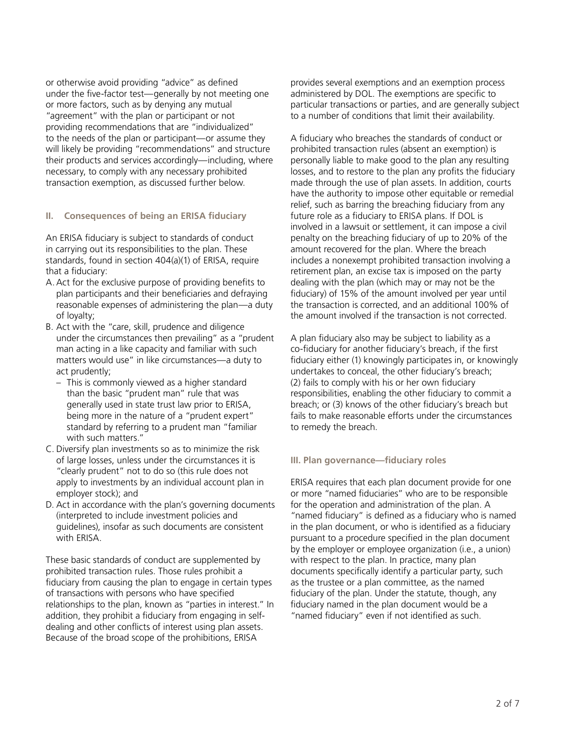or otherwise avoid providing "advice" as defined under the five-factor test—generally by not meeting one or more factors, such as by denying any mutual "agreement" with the plan or participant or not providing recommendations that are "individualized" to the needs of the plan or participant—or assume they will likely be providing "recommendations" and structure their products and services accordingly—including, where necessary, to comply with any necessary prohibited transaction exemption, as discussed further below.

#### **II. Consequences of being an ERISA fiduciary**

An ERISA fiduciary is subject to standards of conduct in carrying out its responsibilities to the plan. These standards, found in section 404(a)(1) of ERISA, require that a fiduciary:

- A.Act for the exclusive purpose of providing benefits to plan participants and their beneficiaries and defraying reasonable expenses of administering the plan—a duty of loyalty;
- B. Act with the "care, skill, prudence and diligence under the circumstances then prevailing" as a "prudent man acting in a like capacity and familiar with such matters would use" in like circumstances—a duty to act prudently;
	- This is commonly viewed as a higher standard than the basic "prudent man" rule that was generally used in state trust law prior to ERISA, being more in the nature of a "prudent expert" standard by referring to a prudent man "familiar with such matters."
- C. Diversify plan investments so as to minimize the risk of large losses, unless under the circumstances it is "clearly prudent" not to do so (this rule does not apply to investments by an individual account plan in employer stock); and
- D. Act in accordance with the plan's governing documents (interpreted to include investment policies and guidelines), insofar as such documents are consistent with ERISA.

These basic standards of conduct are supplemented by prohibited transaction rules. Those rules prohibit a fiduciary from causing the plan to engage in certain types of transactions with persons who have specified relationships to the plan, known as "parties in interest." In addition, they prohibit a fiduciary from engaging in selfdealing and other conflicts of interest using plan assets. Because of the broad scope of the prohibitions, ERISA

provides several exemptions and an exemption process administered by DOL. The exemptions are specific to particular transactions or parties, and are generally subject to a number of conditions that limit their availability.

A fiduciary who breaches the standards of conduct or prohibited transaction rules (absent an exemption) is personally liable to make good to the plan any resulting losses, and to restore to the plan any profits the fiduciary made through the use of plan assets. In addition, courts have the authority to impose other equitable or remedial relief, such as barring the breaching fiduciary from any future role as a fiduciary to ERISA plans. If DOL is involved in a lawsuit or settlement, it can impose a civil penalty on the breaching fiduciary of up to 20% of the amount recovered for the plan. Where the breach includes a nonexempt prohibited transaction involving a retirement plan, an excise tax is imposed on the party dealing with the plan (which may or may not be the fiduciary) of 15% of the amount involved per year until the transaction is corrected, and an additional 100% of the amount involved if the transaction is not corrected.

A plan fiduciary also may be subject to liability as a co-fiduciary for another fiduciary's breach, if the first fiduciary either (1) knowingly participates in, or knowingly undertakes to conceal, the other fiduciary's breach; (2) fails to comply with his or her own fiduciary responsibilities, enabling the other fiduciary to commit a breach; or (3) knows of the other fiduciary's breach but fails to make reasonable efforts under the circumstances to remedy the breach.

#### **III. Plan governance—fiduciary roles**

ERISA requires that each plan document provide for one or more "named fiduciaries" who are to be responsible for the operation and administration of the plan. A "named fiduciary" is defined as a fiduciary who is named in the plan document, or who is identified as a fiduciary pursuant to a procedure specified in the plan document by the employer or employee organization (i.e., a union) with respect to the plan. In practice, many plan documents specifically identify a particular party, such as the trustee or a plan committee, as the named fiduciary of the plan. Under the statute, though, any fiduciary named in the plan document would be a "named fiduciary" even if not identified as such.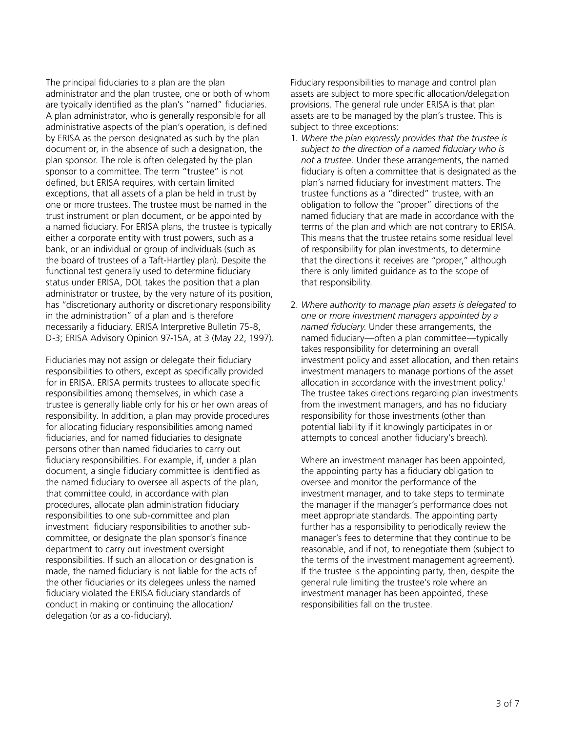The principal fiduciaries to a plan are the plan administrator and the plan trustee, one or both of whom are typically identified as the plan's "named" fiduciaries. A plan administrator, who is generally responsible for all administrative aspects of the plan's operation, is defined by ERISA as the person designated as such by the plan document or, in the absence of such a designation, the plan sponsor. The role is often delegated by the plan sponsor to a committee. The term "trustee" is not defined, but ERISA requires, with certain limited exceptions, that all assets of a plan be held in trust by one or more trustees. The trustee must be named in the trust instrument or plan document, or be appointed by a named fiduciary. For ERISA plans, the trustee is typically either a corporate entity with trust powers, such as a bank, or an individual or group of individuals (such as the board of trustees of a Taft-Hartley plan). Despite the functional test generally used to determine fiduciary status under ERISA, DOL takes the position that a plan administrator or trustee, by the very nature of its position, has "discretionary authority or discretionary responsibility in the administration" of a plan and is therefore necessarily a fiduciary. ERISA Interpretive Bulletin 75-8, D-3; ERISA Advisory Opinion 97-15A, at 3 (May 22, 1997).

Fiduciaries may not assign or delegate their fiduciary responsibilities to others, except as specifically provided for in ERISA. ERISA permits trustees to allocate specific responsibilities among themselves, in which case a trustee is generally liable only for his or her own areas of responsibility. In addition, a plan may provide procedures for allocating fiduciary responsibilities among named fiduciaries, and for named fiduciaries to designate persons other than named fiduciaries to carry out fiduciary responsibilities. For example, if, under a plan document, a single fiduciary committee is identified as the named fiduciary to oversee all aspects of the plan, that committee could, in accordance with plan procedures, allocate plan administration fiduciary responsibilities to one sub-committee and plan investment fiduciary responsibilities to another subcommittee, or designate the plan sponsor's finance department to carry out investment oversight responsibilities. If such an allocation or designation is made, the named fiduciary is not liable for the acts of the other fiduciaries or its delegees unless the named fiduciary violated the ERISA fiduciary standards of conduct in making or continuing the allocation/ delegation (or as a co-fiduciary).

Fiduciary responsibilities to manage and control plan assets are subject to more specific allocation/delegation provisions. The general rule under ERISA is that plan assets are to be managed by the plan's trustee. This is subject to three exceptions:

- 1. *Where the plan expressly provides that the trustee is subject to the direction of a named fiduciary who is not a trustee.* Under these arrangements, the named fiduciary is often a committee that is designated as the plan's named fiduciary for investment matters. The trustee functions as a "directed" trustee, with an obligation to follow the "proper" directions of the named fiduciary that are made in accordance with the terms of the plan and which are not contrary to ERISA. This means that the trustee retains some residual level of responsibility for plan investments, to determine that the directions it receives are "proper," although there is only limited guidance as to the scope of that responsibility.
- 2. *Where authority to manage plan assets is delegated to one or more investment managers appointed by a named fiduciary*. Under these arrangements, the named fiduciary—often a plan committee—typically takes responsibility for determining an overall investment policy and asset allocation, and then retains investment managers to manage portions of the asset allocation in accordance with the investment policy.<sup>1</sup> The trustee takes directions regarding plan investments from the investment managers, and has no fiduciary responsibility for those investments (other than potential liability if it knowingly participates in or attempts to conceal another fiduciary's breach).

Where an investment manager has been appointed, the appointing party has a fiduciary obligation to oversee and monitor the performance of the investment manager, and to take steps to terminate the manager if the manager's performance does not meet appropriate standards. The appointing party further has a responsibility to periodically review the manager's fees to determine that they continue to be reasonable, and if not, to renegotiate them (subject to the terms of the investment management agreement). If the trustee is the appointing party, then, despite the general rule limiting the trustee's role where an investment manager has been appointed, these responsibilities fall on the trustee.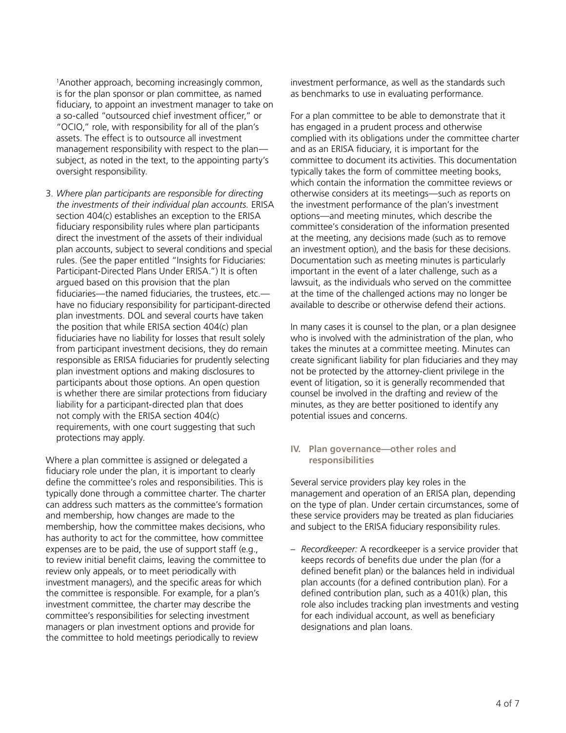1 Another approach, becoming increasingly common, is for the plan sponsor or plan committee, as named fiduciary, to appoint an investment manager to take on a so-called "outsourced chief investment officer," or "OCIO," role, with responsibility for all of the plan's assets. The effect is to outsource all investment management responsibility with respect to the plan subject, as noted in the text, to the appointing party's oversight responsibility.

3. *Where plan participants are responsible for directing the investments of their individual plan accounts.* ERISA section 404(c) establishes an exception to the ERISA fiduciary responsibility rules where plan participants direct the investment of the assets of their individual plan accounts, subject to several conditions and special rules. (See the paper entitled "Insights for Fiduciaries: Participant-Directed Plans Under ERISA.") It is often argued based on this provision that the plan fiduciaries—the named fiduciaries, the trustees, etc. have no fiduciary responsibility for participant-directed plan investments. DOL and several courts have taken the position that while ERISA section 404(c) plan fiduciaries have no liability for losses that result solely from participant investment decisions, they do remain responsible as ERISA fiduciaries for prudently selecting plan investment options and making disclosures to participants about those options. An open question is whether there are similar protections from fiduciary liability for a participant-directed plan that does not comply with the ERISA section 404(c) requirements, with one court suggesting that such protections may apply.

Where a plan committee is assigned or delegated a fiduciary role under the plan, it is important to clearly define the committee's roles and responsibilities. This is typically done through a committee charter. The charter can address such matters as the committee's formation and membership, how changes are made to the membership, how the committee makes decisions, who has authority to act for the committee, how committee expenses are to be paid, the use of support staff (e.g., to review initial benefit claims, leaving the committee to review only appeals, or to meet periodically with investment managers), and the specific areas for which the committee is responsible. For example, for a plan's investment committee, the charter may describe the committee's responsibilities for selecting investment managers or plan investment options and provide for the committee to hold meetings periodically to review

investment performance, as well as the standards such as benchmarks to use in evaluating performance.

For a plan committee to be able to demonstrate that it has engaged in a prudent process and otherwise complied with its obligations under the committee charter and as an ERISA fiduciary, it is important for the committee to document its activities. This documentation typically takes the form of committee meeting books, which contain the information the committee reviews or otherwise considers at its meetings—such as reports on the investment performance of the plan's investment options—and meeting minutes, which describe the committee's consideration of the information presented at the meeting, any decisions made (such as to remove an investment option), and the basis for these decisions. Documentation such as meeting minutes is particularly important in the event of a later challenge, such as a lawsuit, as the individuals who served on the committee at the time of the challenged actions may no longer be available to describe or otherwise defend their actions.

In many cases it is counsel to the plan, or a plan designee who is involved with the administration of the plan, who takes the minutes at a committee meeting. Minutes can create significant liability for plan fiduciaries and they may not be protected by the attorney-client privilege in the event of litigation, so it is generally recommended that counsel be involved in the drafting and review of the minutes, as they are better positioned to identify any potential issues and concerns.

#### **IV. Plan governance—other roles and responsibilities**

Several service providers play key roles in the management and operation of an ERISA plan, depending on the type of plan. Under certain circumstances, some of these service providers may be treated as plan fiduciaries and subject to the ERISA fiduciary responsibility rules.

– *Recordkeeper:* A recordkeeper is a service provider that keeps records of benefits due under the plan (for a defined benefit plan) or the balances held in individual plan accounts (for a defined contribution plan). For a defined contribution plan, such as a 401(k) plan, this role also includes tracking plan investments and vesting for each individual account, as well as beneficiary designations and plan loans.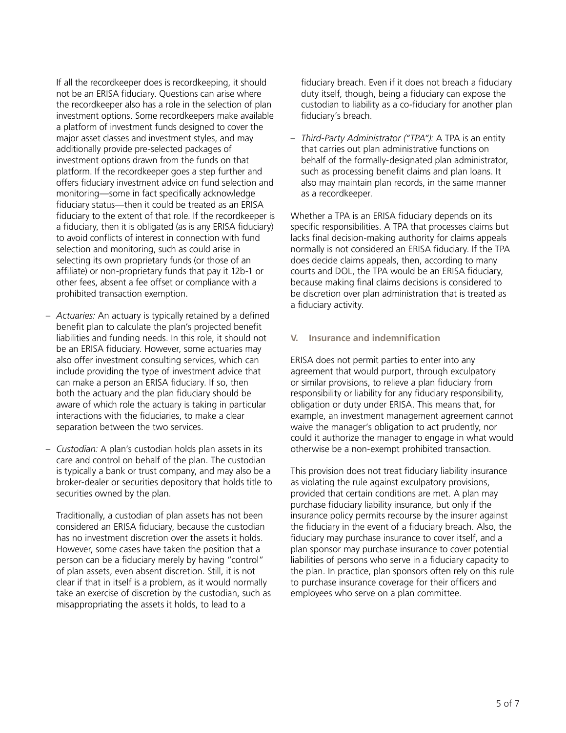If all the recordkeeper does is recordkeeping, it should not be an ERISA fiduciary. Questions can arise where the recordkeeper also has a role in the selection of plan investment options. Some recordkeepers make available a platform of investment funds designed to cover the major asset classes and investment styles, and may additionally provide pre-selected packages of investment options drawn from the funds on that platform. If the recordkeeper goes a step further and offers fiduciary investment advice on fund selection and monitoring—some in fact specifically acknowledge fiduciary status—then it could be treated as an ERISA fiduciary to the extent of that role. If the recordkeeper is a fiduciary, then it is obligated (as is any ERISA fiduciary) to avoid conflicts of interest in connection with fund selection and monitoring, such as could arise in selecting its own proprietary funds (or those of an affiliate) or non-proprietary funds that pay it 12b-1 or other fees, absent a fee offset or compliance with a prohibited transaction exemption.

- *Actuaries:* An actuary is typically retained by a defined benefit plan to calculate the plan's projected benefit liabilities and funding needs. In this role, it should not be an ERISA fiduciary. However, some actuaries may also offer investment consulting services, which can include providing the type of investment advice that can make a person an ERISA fiduciary. If so, then both the actuary and the plan fiduciary should be aware of which role the actuary is taking in particular interactions with the fiduciaries, to make a clear separation between the two services.
- *Custodian:* A plan's custodian holds plan assets in its care and control on behalf of the plan. The custodian is typically a bank or trust company, and may also be a broker-dealer or securities depository that holds title to securities owned by the plan.

Traditionally, a custodian of plan assets has not been considered an ERISA fiduciary, because the custodian has no investment discretion over the assets it holds. However, some cases have taken the position that a person can be a fiduciary merely by having "control" of plan assets, even absent discretion. Still, it is not clear if that in itself is a problem, as it would normally take an exercise of discretion by the custodian, such as misappropriating the assets it holds, to lead to a

fiduciary breach. Even if it does not breach a fiduciary duty itself, though, being a fiduciary can expose the custodian to liability as a co-fiduciary for another plan fiduciary's breach.

– *Third-Party Administrator ("TPA"):* A TPA is an entity that carries out plan administrative functions on behalf of the formally-designated plan administrator, such as processing benefit claims and plan loans. It also may maintain plan records, in the same manner as a recordkeeper.

Whether a TPA is an ERISA fiduciary depends on its specific responsibilities. A TPA that processes claims but lacks final decision-making authority for claims appeals normally is not considered an ERISA fiduciary. If the TPA does decide claims appeals, then, according to many courts and DOL, the TPA would be an ERISA fiduciary, because making final claims decisions is considered to be discretion over plan administration that is treated as a fiduciary activity.

#### **V. Insurance and indemnification**

ERISA does not permit parties to enter into any agreement that would purport, through exculpatory or similar provisions, to relieve a plan fiduciary from responsibility or liability for any fiduciary responsibility, obligation or duty under ERISA. This means that, for example, an investment management agreement cannot waive the manager's obligation to act prudently, nor could it authorize the manager to engage in what would otherwise be a non-exempt prohibited transaction.

This provision does not treat fiduciary liability insurance as violating the rule against exculpatory provisions, provided that certain conditions are met. A plan may purchase fiduciary liability insurance, but only if the insurance policy permits recourse by the insurer against the fiduciary in the event of a fiduciary breach. Also, the fiduciary may purchase insurance to cover itself, and a plan sponsor may purchase insurance to cover potential liabilities of persons who serve in a fiduciary capacity to the plan. In practice, plan sponsors often rely on this rule to purchase insurance coverage for their officers and employees who serve on a plan committee.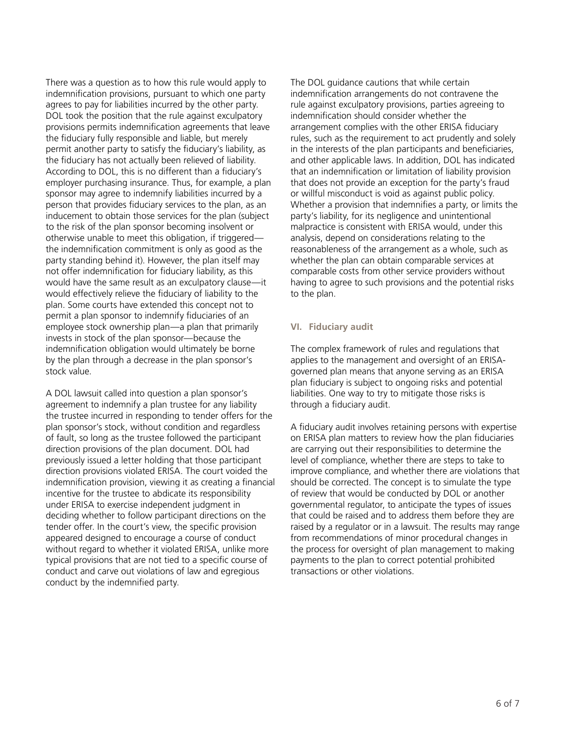There was a question as to how this rule would apply to indemnification provisions, pursuant to which one party agrees to pay for liabilities incurred by the other party. DOL took the position that the rule against exculpatory provisions permits indemnification agreements that leave the fiduciary fully responsible and liable, but merely permit another party to satisfy the fiduciary's liability, as the fiduciary has not actually been relieved of liability. According to DOL, this is no different than a fiduciary's employer purchasing insurance. Thus, for example, a plan sponsor may agree to indemnify liabilities incurred by a person that provides fiduciary services to the plan, as an inducement to obtain those services for the plan (subject to the risk of the plan sponsor becoming insolvent or otherwise unable to meet this obligation, if triggered the indemnification commitment is only as good as the party standing behind it). However, the plan itself may not offer indemnification for fiduciary liability, as this would have the same result as an exculpatory clause—it would effectively relieve the fiduciary of liability to the plan. Some courts have extended this concept not to permit a plan sponsor to indemnify fiduciaries of an employee stock ownership plan—a plan that primarily invests in stock of the plan sponsor—because the indemnification obligation would ultimately be borne by the plan through a decrease in the plan sponsor's stock value.

A DOL lawsuit called into question a plan sponsor's agreement to indemnify a plan trustee for any liability the trustee incurred in responding to tender offers for the plan sponsor's stock, without condition and regardless of fault, so long as the trustee followed the participant direction provisions of the plan document. DOL had previously issued a letter holding that those participant direction provisions violated ERISA. The court voided the indemnification provision, viewing it as creating a financial incentive for the trustee to abdicate its responsibility under ERISA to exercise independent judgment in deciding whether to follow participant directions on the tender offer. In the court's view, the specific provision appeared designed to encourage a course of conduct without regard to whether it violated ERISA, unlike more typical provisions that are not tied to a specific course of conduct and carve out violations of law and egregious conduct by the indemnified party.

The DOL guidance cautions that while certain indemnification arrangements do not contravene the rule against exculpatory provisions, parties agreeing to indemnification should consider whether the arrangement complies with the other ERISA fiduciary rules, such as the requirement to act prudently and solely in the interests of the plan participants and beneficiaries, and other applicable laws. In addition, DOL has indicated that an indemnification or limitation of liability provision that does not provide an exception for the party's fraud or willful misconduct is void as against public policy. Whether a provision that indemnifies a party, or limits the party's liability, for its negligence and unintentional malpractice is consistent with ERISA would, under this analysis, depend on considerations relating to the reasonableness of the arrangement as a whole, such as whether the plan can obtain comparable services at comparable costs from other service providers without having to agree to such provisions and the potential risks to the plan.

#### **VI. Fiduciary audit**

The complex framework of rules and regulations that applies to the management and oversight of an ERISAgoverned plan means that anyone serving as an ERISA plan fiduciary is subject to ongoing risks and potential liabilities. One way to try to mitigate those risks is through a fiduciary audit.

A fiduciary audit involves retaining persons with expertise on ERISA plan matters to review how the plan fiduciaries are carrying out their responsibilities to determine the level of compliance, whether there are steps to take to improve compliance, and whether there are violations that should be corrected. The concept is to simulate the type of review that would be conducted by DOL or another governmental regulator, to anticipate the types of issues that could be raised and to address them before they are raised by a regulator or in a lawsuit. The results may range from recommendations of minor procedural changes in the process for oversight of plan management to making payments to the plan to correct potential prohibited transactions or other violations.